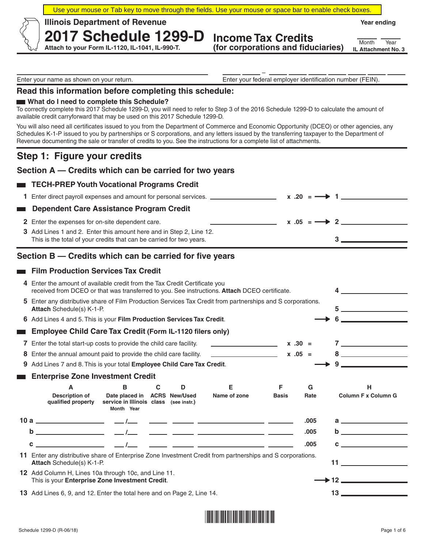Use your mouse or Tab key to move through the fields. Use your mouse or space bar to enable check boxes.

 **Illinois Department of Revenue** 

**Year ending**

**Income Tax Credits (for corporations and fiduciaries)**

**IL Attachment No. 3** Month Year

 – Enter your name as shown on your return. Enter your federal employer identification number (FEIN).

### **Read this information before completing this schedule:**

**2017 Schedule 1299-D Attach to your Form IL-1120, IL-1041, IL-990-T.** 

#### **What do I need to complete this Schedule?**

To correctly complete this 2017 Schedule 1299-D, you will need to refer to Step 3 of the 2016 Schedule 1299-D to calculate the amount of available credit carryforward that may be used on this 2017 Schedule 1299-D.

You will also need all certificates issued to you from the Department of Commerce and Economic Opportunity (DCEO) or other agencies, any Schedules K-1-P issued to you by partnerships or S corporations, and any letters issued by the transferring taxpayer to the Department of Revenue documenting the sale or transfer of credits to you. See the instructions for a complete list of attachments.

# **Step 1: Figure your credits**

r

### **Section A — Credits which can be carried for two years**

### **TECH-PREP Youth Vocational Programs Credit**

| 1 Enter direct payroll expenses and amount for personal services. ______________ | $x \cdot 20 = \longrightarrow 1$ |
|----------------------------------------------------------------------------------|----------------------------------|
| Dependent Care Assistance Program Credit                                         |                                  |
| <b>2</b> Enter the expenses for on-site dependent care.                          | $x .05 = \longrightarrow 2$      |
| 3 Add Lines 1 and 2. Enter this amount here and in Step 2, Line 12.              |                                  |
| This is the total of your credits that can be carried for two years.             |                                  |

## **Section B — Credits which can be carried for five years**

### **Film Production Services Tax Credit**

|   | 4 Enter the amount of available credit from the Tax Credit Certificate you<br>received from DCEO or that was transferred to you. See instructions. Attach DCEO certificate.   |                                                                                      |   |   |                                                                                                                     |              |           |                                                                                                                                                                                                                                                                                                                                    |
|---|-------------------------------------------------------------------------------------------------------------------------------------------------------------------------------|--------------------------------------------------------------------------------------|---|---|---------------------------------------------------------------------------------------------------------------------|--------------|-----------|------------------------------------------------------------------------------------------------------------------------------------------------------------------------------------------------------------------------------------------------------------------------------------------------------------------------------------|
|   | 5 Enter any distributive share of Film Production Services Tax Credit from partnerships and S corporations.<br><b>Attach Schedule(s) K-1-P.</b>                               |                                                                                      |   |   |                                                                                                                     |              |           |                                                                                                                                                                                                                                                                                                                                    |
|   | 6 Add Lines 4 and 5. This is your Film Production Services Tax Credit.                                                                                                        |                                                                                      |   |   |                                                                                                                     |              |           |                                                                                                                                                                                                                                                                                                                                    |
|   | <b>Employee Child Care Tax Credit (Form IL-1120 filers only)</b>                                                                                                              |                                                                                      |   |   |                                                                                                                     |              |           |                                                                                                                                                                                                                                                                                                                                    |
|   | 7 Enter the total start-up costs to provide the child care facility.                                                                                                          |                                                                                      |   |   | <u>and the state of the state of the state</u>                                                                      |              | $x .30 =$ | $7$ and $7$ and $7$ and $7$ and $7$ and $7$ and $7$ and $7$ and $7$ and $7$ and $7$ and $7$ and $7$ and $7$ and $7$ and $7$ and $7$ and $7$ and $7$ and $7$ and $7$ and $7$ and $7$ and $7$ and $7$ and $7$ and $7$ and $7$ a                                                                                                      |
| 8 | Enter the annual amount paid to provide the child care facility.                                                                                                              |                                                                                      |   |   | <u> 1989 - John Harry Harry Harry Harry Harry Harry Harry Harry Harry Harry Harry Harry Harry Harry Harry Harry</u> |              | $x .05 =$ | $8 \underline{\hspace{1cm}}$                                                                                                                                                                                                                                                                                                       |
| 9 | Add Lines 7 and 8. This is your total Employee Child Care Tax Credit.                                                                                                         |                                                                                      |   |   |                                                                                                                     |              |           | <u> 1980 - Johann Barbara, martxa a</u>                                                                                                                                                                                                                                                                                            |
|   | <b>Enterprise Zone Investment Credit</b>                                                                                                                                      |                                                                                      |   |   |                                                                                                                     |              |           |                                                                                                                                                                                                                                                                                                                                    |
|   | A                                                                                                                                                                             | B                                                                                    | C | D | Е                                                                                                                   | F            | G         | н                                                                                                                                                                                                                                                                                                                                  |
|   | <b>Description of</b><br>qualified property                                                                                                                                   | Date placed in ACRS New/Used<br>service in Illinois class (see instr.)<br>Month Year |   |   | Name of zone                                                                                                        | <b>Basis</b> | Rate      | <b>Column F x Column G</b>                                                                                                                                                                                                                                                                                                         |
|   |                                                                                                                                                                               |                                                                                      |   |   |                                                                                                                     |              | .005      | $\overline{a}$ and $\overline{a}$ and $\overline{a}$ and $\overline{a}$ and $\overline{a}$ and $\overline{a}$ and $\overline{a}$ and $\overline{a}$ and $\overline{a}$ and $\overline{a}$ and $\overline{a}$ and $\overline{a}$ and $\overline{a}$ and $\overline{a}$ and $\overline{a}$ and $\overline{a}$ and $\overline{a}$ and |
|   | $\mathbf b$                                                                                                                                                                   |                                                                                      |   |   |                                                                                                                     |              | .005      |                                                                                                                                                                                                                                                                                                                                    |
|   | C                                                                                                                                                                             |                                                                                      |   |   |                                                                                                                     |              | .005      | <u> 1989 - Andrea Maria Barbara, poeta espa</u>                                                                                                                                                                                                                                                                                    |
|   | 11 Enter any distributive share of Enterprise Zone Investment Credit from partnerships and S corporations.<br>11 and $\sim$ 10 and $\sim$<br><b>Attach Schedule(s) K-1-P.</b> |                                                                                      |   |   |                                                                                                                     |              |           |                                                                                                                                                                                                                                                                                                                                    |
|   | 12 Add Column H, Lines 10a through 10c, and Line 11.<br>This is your Enterprise Zone Investment Credit.                                                                       |                                                                                      |   |   |                                                                                                                     |              |           |                                                                                                                                                                                                                                                                                                                                    |
|   |                                                                                                                                                                               |                                                                                      |   |   |                                                                                                                     |              |           |                                                                                                                                                                                                                                                                                                                                    |

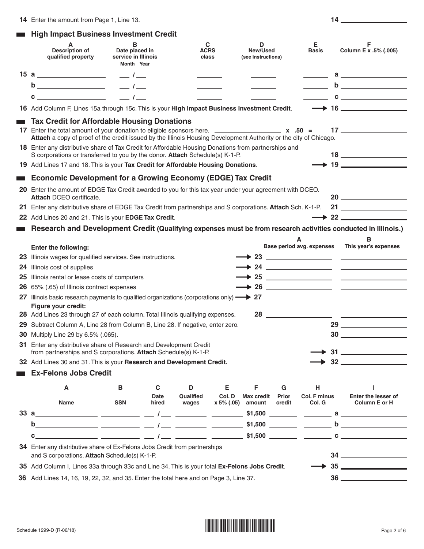|  |  | <b>High Impact Business Investment Credit</b> |  |
|--|--|-----------------------------------------------|--|
|  |  |                                               |  |

|     | A<br><b>Description of</b><br>qualified property                                                                                                                                                                                                                                                                                                                                                             | в<br>Date placed in<br>service in Illinois<br>Month Year |                     | C<br><b>ACRS</b><br>class |             | D<br>New/Used<br>(see instructions) |            | Е<br><b>Basis</b>         | F<br>Column E x .5% (.005)                                                                                                                                                                                                                                                                                                                                    |
|-----|--------------------------------------------------------------------------------------------------------------------------------------------------------------------------------------------------------------------------------------------------------------------------------------------------------------------------------------------------------------------------------------------------------------|----------------------------------------------------------|---------------------|---------------------------|-------------|-------------------------------------|------------|---------------------------|---------------------------------------------------------------------------------------------------------------------------------------------------------------------------------------------------------------------------------------------------------------------------------------------------------------------------------------------------------------|
|     |                                                                                                                                                                                                                                                                                                                                                                                                              |                                                          |                     |                           |             |                                     |            |                           | $a \qquad \qquad$                                                                                                                                                                                                                                                                                                                                             |
|     |                                                                                                                                                                                                                                                                                                                                                                                                              | $-1$                                                     |                     |                           |             |                                     |            |                           |                                                                                                                                                                                                                                                                                                                                                               |
|     | $c \overline{\phantom{a}}$                                                                                                                                                                                                                                                                                                                                                                                   | $\frac{1}{2}$                                            |                     |                           |             |                                     |            |                           | $\mathbf{C}$ and $\mathbf{C}$ and $\mathbf{C}$ and $\mathbf{C}$ and $\mathbf{C}$ and $\mathbf{C}$ and $\mathbf{C}$ and $\mathbf{C}$                                                                                                                                                                                                                           |
|     | 16 Add Column F, Lines 15a through 15c. This is your High Impact Business Investment Credit.                                                                                                                                                                                                                                                                                                                 |                                                          |                     |                           |             |                                     |            |                           | $\rightarrow$ 16                                                                                                                                                                                                                                                                                                                                              |
|     | <b>Tax Credit for Affordable Housing Donations</b>                                                                                                                                                                                                                                                                                                                                                           |                                                          |                     |                           |             |                                     |            |                           |                                                                                                                                                                                                                                                                                                                                                               |
|     | 17 Enter the total amount of your donation to eligible sponsors here. $\frac{1}{2}$ $\frac{1}{2}$ $\frac{1}{2}$ $\frac{1}{2}$ $\frac{1}{2}$ $\frac{1}{2}$ $\frac{1}{2}$ $\frac{1}{2}$ $\frac{1}{2}$ $\frac{1}{2}$ $\frac{1}{2}$ $\frac{1}{2}$ $\frac{1}{2}$ $\frac{1}{2}$ $\frac{1}{2}$<br>Attach a copy of proof of the credit issued by the Illinois Housing Development Authority or the city of Chicago. |                                                          |                     |                           |             |                                     |            |                           | 17                                                                                                                                                                                                                                                                                                                                                            |
|     | 18 Enter any distributive share of Tax Credit for Affordable Housing Donations from partnerships and<br>S corporations or transferred to you by the donor. Attach Schedule(s) K-1-P.                                                                                                                                                                                                                         |                                                          |                     |                           |             |                                     |            |                           | $18 \underline{\hspace{1cm}}$                                                                                                                                                                                                                                                                                                                                 |
|     | 19 Add Lines 17 and 18. This is your Tax Credit for Affordable Housing Donations.                                                                                                                                                                                                                                                                                                                            |                                                          |                     |                           |             |                                     |            |                           | $\longrightarrow$ 19                                                                                                                                                                                                                                                                                                                                          |
|     | <b>Economic Development for a Growing Economy (EDGE) Tax Credit</b>                                                                                                                                                                                                                                                                                                                                          |                                                          |                     |                           |             |                                     |            |                           |                                                                                                                                                                                                                                                                                                                                                               |
|     | 20 Enter the amount of EDGE Tax Credit awarded to you for this tax year under your agreement with DCEO.<br><b>Attach DCEO certificate.</b>                                                                                                                                                                                                                                                                   |                                                          |                     |                           |             |                                     |            |                           | 20                                                                                                                                                                                                                                                                                                                                                            |
| 21  | Enter any distributive share of EDGE Tax Credit from partnerships and S corporations. Attach Sch. K-1-P.                                                                                                                                                                                                                                                                                                     |                                                          |                     |                           |             |                                     |            |                           |                                                                                                                                                                                                                                                                                                                                                               |
| 22  | Add Lines 20 and 21. This is your EDGE Tax Credit.                                                                                                                                                                                                                                                                                                                                                           |                                                          |                     |                           |             |                                     |            |                           | $\rightarrow$ 22                                                                                                                                                                                                                                                                                                                                              |
|     | Research and Development Credit (Qualifying expenses must be from research activities conducted in Illinois.)                                                                                                                                                                                                                                                                                                |                                                          |                     |                           |             |                                     |            |                           |                                                                                                                                                                                                                                                                                                                                                               |
|     |                                                                                                                                                                                                                                                                                                                                                                                                              |                                                          |                     |                           |             |                                     | A          |                           | в                                                                                                                                                                                                                                                                                                                                                             |
|     | <b>Enter the following:</b>                                                                                                                                                                                                                                                                                                                                                                                  |                                                          |                     |                           |             |                                     |            | Base period avg. expenses | This year's expenses                                                                                                                                                                                                                                                                                                                                          |
| 23. | Illinois wages for qualified services. See instructions.                                                                                                                                                                                                                                                                                                                                                     |                                                          |                     |                           |             |                                     |            |                           |                                                                                                                                                                                                                                                                                                                                                               |
| 24  | Illinois cost of supplies                                                                                                                                                                                                                                                                                                                                                                                    |                                                          |                     |                           |             |                                     |            |                           |                                                                                                                                                                                                                                                                                                                                                               |
| 25  | Illinois rental or lease costs of computers                                                                                                                                                                                                                                                                                                                                                                  |                                                          |                     |                           |             |                                     |            |                           |                                                                                                                                                                                                                                                                                                                                                               |
| 26  | 65% (.65) of Illinois contract expenses                                                                                                                                                                                                                                                                                                                                                                      |                                                          |                     |                           |             |                                     |            |                           |                                                                                                                                                                                                                                                                                                                                                               |
| 27  |                                                                                                                                                                                                                                                                                                                                                                                                              |                                                          |                     |                           |             |                                     |            |                           |                                                                                                                                                                                                                                                                                                                                                               |
|     | Figure your credit:<br>28 Add Lines 23 through 27 of each column. Total Illinois qualifying expenses.                                                                                                                                                                                                                                                                                                        |                                                          |                     |                           |             |                                     |            | 28                        |                                                                                                                                                                                                                                                                                                                                                               |
| 29  | Subtract Column A, Line 28 from Column B, Line 28. If negative, enter zero.                                                                                                                                                                                                                                                                                                                                  |                                                          |                     |                           |             |                                     |            |                           |                                                                                                                                                                                                                                                                                                                                                               |
| 30  | Multiply Line 29 by 6.5% (.065).                                                                                                                                                                                                                                                                                                                                                                             |                                                          |                     |                           |             |                                     |            |                           |                                                                                                                                                                                                                                                                                                                                                               |
|     | 31 Enter any distributive share of Research and Development Credit                                                                                                                                                                                                                                                                                                                                           |                                                          |                     |                           |             |                                     |            |                           |                                                                                                                                                                                                                                                                                                                                                               |
|     | from partnerships and S corporations. Attach Schedule(s) K-1-P.                                                                                                                                                                                                                                                                                                                                              |                                                          |                     |                           |             |                                     |            |                           |                                                                                                                                                                                                                                                                                                                                                               |
|     | 32 Add Lines 30 and 31. This is your Research and Development Credit.                                                                                                                                                                                                                                                                                                                                        |                                                          |                     |                           |             |                                     |            |                           |                                                                                                                                                                                                                                                                                                                                                               |
|     | <b>Ex-Felons Jobs Credit</b>                                                                                                                                                                                                                                                                                                                                                                                 |                                                          |                     |                           |             |                                     |            |                           |                                                                                                                                                                                                                                                                                                                                                               |
|     | A                                                                                                                                                                                                                                                                                                                                                                                                            | в                                                        | $\mathbf c$<br>Date | D<br>Qualified            | Е<br>Col. D | F.<br><b>Max credit</b>             | G<br>Prior | н<br>Col. F minus         | Enter the lesser of                                                                                                                                                                                                                                                                                                                                           |
|     | <b>Name</b>                                                                                                                                                                                                                                                                                                                                                                                                  | <b>SSN</b>                                               | hired               | wages                     | x 5% (.05)  | amount                              | credit     | Col. G                    | Column E or H                                                                                                                                                                                                                                                                                                                                                 |
|     | 33a                                                                                                                                                                                                                                                                                                                                                                                                          |                                                          |                     |                           |             |                                     |            |                           |                                                                                                                                                                                                                                                                                                                                                               |
|     |                                                                                                                                                                                                                                                                                                                                                                                                              |                                                          |                     |                           |             |                                     |            |                           |                                                                                                                                                                                                                                                                                                                                                               |
|     | C.                                                                                                                                                                                                                                                                                                                                                                                                           |                                                          |                     |                           |             |                                     |            |                           |                                                                                                                                                                                                                                                                                                                                                               |
|     | 34 Enter any distributive share of Ex-Felons Jobs Credit from partnerships<br>and S corporations. Attach Schedule(s) K-1-P.                                                                                                                                                                                                                                                                                  |                                                          |                     |                           |             |                                     |            |                           | $34 \begin{tabular}{l} \hline \rule{0.2cm}{0.1cm} \rule{0.2cm}{0.1cm} \rule{0.2cm}{0.1cm} \rule{0.2cm}{0.1cm} \rule{0.2cm}{0.1cm} \rule{0.2cm}{0.1cm} \rule{0.2cm}{0.1cm} \rule{0.2cm}{0.1cm} \rule{0.2cm}{0.1cm} \rule{0.2cm}{0.1cm} \rule{0.2cm}{0.1cm} \rule{0.2cm}{0.1cm} \rule{0.2cm}{0.1cm} \rule{0.2cm}{0.1cm} \rule{0.2cm}{0.1cm} \rule{0.2cm}{0.1cm$ |
|     | 35 Add Column I, Lines 33a through 33c and Line 34. This is your total Ex-Felons Jobs Credit.                                                                                                                                                                                                                                                                                                                |                                                          |                     |                           |             |                                     |            |                           |                                                                                                                                                                                                                                                                                                                                                               |
|     | 36 Add Lines 14, 16, 19, 22, 32, and 35. Enter the total here and on Page 3, Line 37.                                                                                                                                                                                                                                                                                                                        |                                                          |                     |                           |             |                                     |            |                           | $36 \quad \overbrace{\hspace{2.5cm}}$                                                                                                                                                                                                                                                                                                                         |
|     |                                                                                                                                                                                                                                                                                                                                                                                                              |                                                          |                     |                           |             |                                     |            |                           |                                                                                                                                                                                                                                                                                                                                                               |

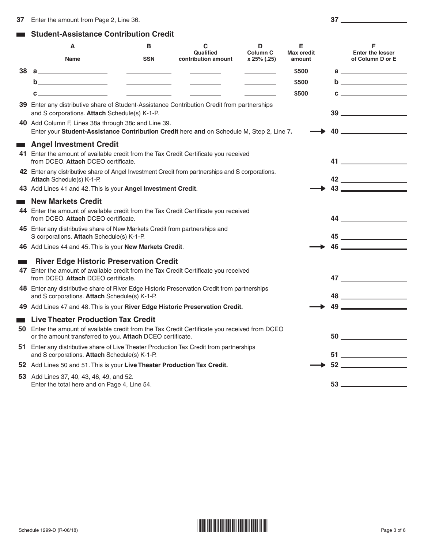#### **Student-Assistance Contribution Credit**   $\mathcal{L}_{\mathcal{A}}$

|           | A<br>Name                                                                                                                                                                                                 | в<br><b>SSN</b>                 | C<br>Qualified<br>contribution amount | D<br><b>Column C</b><br>x 25% (.25) | Е<br><b>Max credit</b><br>amount | F<br><b>Enter the lesser</b><br>of Column D or E                                                                                                                                                                                                                                                 |
|-----------|-----------------------------------------------------------------------------------------------------------------------------------------------------------------------------------------------------------|---------------------------------|---------------------------------------|-------------------------------------|----------------------------------|--------------------------------------------------------------------------------------------------------------------------------------------------------------------------------------------------------------------------------------------------------------------------------------------------|
| 38        | a______________________                                                                                                                                                                                   |                                 |                                       |                                     | \$500                            | a <u>________________</u>                                                                                                                                                                                                                                                                        |
|           |                                                                                                                                                                                                           | <u> The Common State Common</u> |                                       |                                     | \$500                            |                                                                                                                                                                                                                                                                                                  |
|           | C.                                                                                                                                                                                                        | <u> Albanya (Albanya)</u>       |                                       |                                     | \$500                            | $\mathbf{C}$ and $\mathbf{C}$ and $\mathbf{C}$ and $\mathbf{C}$ and $\mathbf{C}$ and $\mathbf{C}$ and $\mathbf{C}$ and $\mathbf{C}$ and $\mathbf{C}$ and $\mathbf{C}$ and $\mathbf{C}$ and $\mathbf{C}$ and $\mathbf{C}$ and $\mathbf{C}$ and $\mathbf{C}$ and $\mathbf{C}$ and $\mathbf{C}$ and |
|           | 39 Enter any distributive share of Student-Assistance Contribution Credit from partnerships<br>and S corporations. Attach Schedule(s) K-1-P.                                                              |                                 |                                       |                                     |                                  | $39 \underline{\hspace{1cm}}$                                                                                                                                                                                                                                                                    |
|           | 40 Add Column F, Lines 38a through 38c and Line 39.<br>Enter your Student-Assistance Contribution Credit here and on Schedule M, Step 2, Line 7.                                                          |                                 |                                       |                                     |                                  |                                                                                                                                                                                                                                                                                                  |
| $\sim 10$ | <b>Angel Investment Credit</b>                                                                                                                                                                            |                                 |                                       |                                     |                                  |                                                                                                                                                                                                                                                                                                  |
|           | 41 Enter the amount of available credit from the Tax Credit Certificate you received<br>from DCEO. Attach DCEO certificate.                                                                               |                                 |                                       |                                     |                                  | 41 — Маркет Байдан (1986)                                                                                                                                                                                                                                                                        |
|           | 42 Enter any distributive share of Angel Investment Credit from partnerships and S corporations.                                                                                                          |                                 |                                       |                                     |                                  |                                                                                                                                                                                                                                                                                                  |
|           | Attach Schedule(s) K-1-P.<br>43 Add Lines 41 and 42. This is your Angel Investment Credit.                                                                                                                |                                 |                                       |                                     |                                  |                                                                                                                                                                                                                                                                                                  |
|           | <b>New Markets Credit</b>                                                                                                                                                                                 |                                 |                                       |                                     |                                  |                                                                                                                                                                                                                                                                                                  |
|           | 44 Enter the amount of available credit from the Tax Credit Certificate you received<br>from DCEO. Attach DCEO certificate.                                                                               |                                 |                                       |                                     |                                  |                                                                                                                                                                                                                                                                                                  |
|           | 45 Enter any distributive share of New Markets Credit from partnerships and<br>S corporations. Attach Schedule(s) K-1-P.                                                                                  |                                 |                                       |                                     |                                  |                                                                                                                                                                                                                                                                                                  |
|           | 46 Add Lines 44 and 45. This is your New Markets Credit.                                                                                                                                                  |                                 |                                       |                                     |                                  |                                                                                                                                                                                                                                                                                                  |
|           | <b>River Edge Historic Preservation Credit</b>                                                                                                                                                            |                                 |                                       |                                     |                                  |                                                                                                                                                                                                                                                                                                  |
|           | 47 Enter the amount of available credit from the Tax Credit Certificate you received<br>from DCEO. Attach DCEO certificate.                                                                               |                                 |                                       |                                     |                                  |                                                                                                                                                                                                                                                                                                  |
|           | 48 Enter any distributive share of River Edge Historic Preservation Credit from partnerships<br>and S corporations. Attach Schedule(s) K-1-P.                                                             |                                 |                                       |                                     |                                  |                                                                                                                                                                                                                                                                                                  |
|           | 49 Add Lines 47 and 48. This is your River Edge Historic Preservation Credit.                                                                                                                             |                                 |                                       |                                     |                                  |                                                                                                                                                                                                                                                                                                  |
| $\sim 10$ | <b>Live Theater Production Tax Credit</b><br>50 Enter the amount of available credit from the Tax Credit Certificate you received from DCEO<br>or the amount transferred to you. Attach DCEO certificate. |                                 |                                       |                                     |                                  | 50                                                                                                                                                                                                                                                                                               |
|           | 51 Enter any distributive share of Live Theater Production Tax Credit from partnerships<br>and S corporations. Attach Schedule(s) K-1-P.                                                                  |                                 |                                       |                                     |                                  |                                                                                                                                                                                                                                                                                                  |
|           | 52 Add Lines 50 and 51. This is your Live Theater Production Tax Credit.                                                                                                                                  |                                 |                                       |                                     |                                  |                                                                                                                                                                                                                                                                                                  |
|           | 53 Add Lines 37, 40, 43, 46, 49, and 52.<br>Enter the total here and on Page 4, Line 54.                                                                                                                  |                                 |                                       |                                     |                                  | 53                                                                                                                                                                                                                                                                                               |
|           |                                                                                                                                                                                                           |                                 |                                       |                                     |                                  |                                                                                                                                                                                                                                                                                                  |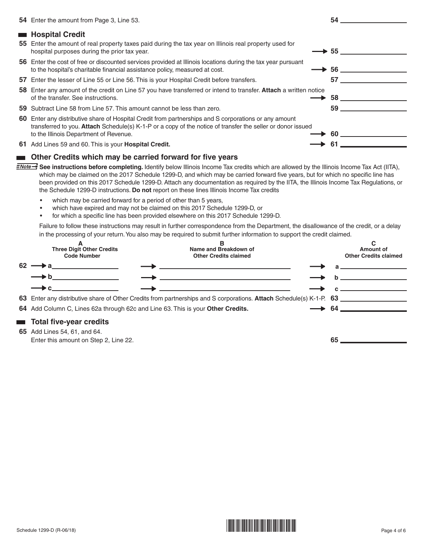|    | 54 Enter the amount from Page 3, Line 53.                                                                                                                                                                                                                   | 54 |  |
|----|-------------------------------------------------------------------------------------------------------------------------------------------------------------------------------------------------------------------------------------------------------------|----|--|
|    | <b>Hospital Credit</b>                                                                                                                                                                                                                                      |    |  |
|    | 55 Enter the amount of real property taxes paid during the tax year on Illinois real property used for<br>hospital purposes during the prior tax year.                                                                                                      | 55 |  |
|    | 56 Enter the cost of free or discounted services provided at Illinois locations during the tax year pursuant<br>to the hospital's charitable financial assistance policy, measured at cost.                                                                 | 56 |  |
|    | 57 Enter the lesser of Line 55 or Line 56. This is your Hospital Credit before transfers.                                                                                                                                                                   | 57 |  |
|    | 58 Enter any amount of the credit on Line 57 you have transferred or intend to transfer. Attach a written notice<br>of the transfer. See instructions.                                                                                                      | 58 |  |
|    | 59 Subtract Line 58 from Line 57. This amount cannot be less than zero.                                                                                                                                                                                     | 59 |  |
| 60 | Enter any distributive share of Hospital Credit from partnerships and S corporations or any amount<br>transferred to you. Attach Schedule(s) K-1-P or a copy of the notice of transfer the seller or donor issued<br>to the Illinois Department of Revenue. | 60 |  |
|    | 61 Add Lines 59 and 60. This is your <b>Hospital Credit.</b>                                                                                                                                                                                                | 61 |  |

### **EXECUTE:** Other Credits which may be carried forward for five years

- **ENote >>** See instructions before completing. Identify below Illinois Income Tax credits which are allowed by the Illinois Income Tax Act (IITA), which may be claimed on the 2017 Schedule 1299-D, and which may be carried forward five years, but for which no specific line has been provided on this 2017 Schedule 1299-D. Attach any documentation as required by the IITA, the Illinois Income Tax Regulations, or the Schedule 1299-D instructions. **Do not** report on these lines Illinois Income Tax credits
	- which may be carried forward for a period of other than 5 years,
	- • which have expired and may not be claimed on this 2017 Schedule 1299-D, or
	- for which a specific line has been provided elsewhere on this 2017 Schedule 1299-D.

Failure to follow these instructions may result in further correspondence from the Department, the disallowance of the credit, or a delay in the processing of your return. You also may be required to submit further information to support the credit claimed.



#### **Total five-year credits**

**65** Add Lines 54, 61, and 64. Enter this amount on Step 2, Line 22. **65**

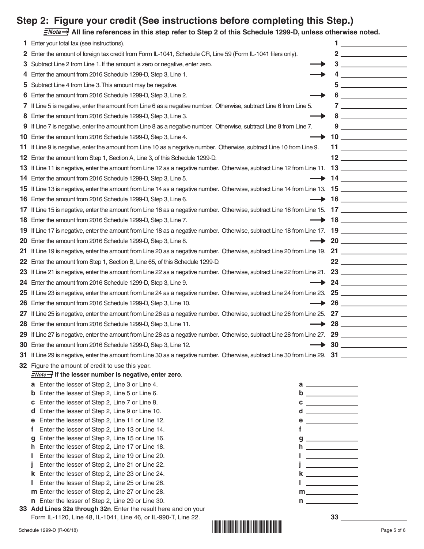# **Step 2: Figure your credit (See instructions before completing this Step.)**

**All line references in this step refer to Step 2 of this Schedule 1299-D, unless otherwise noted.** 

| 1   | Enter your total tax (see instructions).                                                                                                |                  |                                                                                                                               |                                      |
|-----|-----------------------------------------------------------------------------------------------------------------------------------------|------------------|-------------------------------------------------------------------------------------------------------------------------------|--------------------------------------|
|     | 2 Enter the amount of foreign tax credit from Form IL-1041, Schedule CR, Line 59 (Form IL-1041 filers only).                            |                  |                                                                                                                               |                                      |
| 3   | Subtract Line 2 from Line 1. If the amount is zero or negative, enter zero.                                                             |                  |                                                                                                                               |                                      |
| 4   | Enter the amount from 2016 Schedule 1299-D, Step 3, Line 1.                                                                             |                  |                                                                                                                               | $4 \overline{\phantom{a}}$           |
| 5   | Subtract Line 4 from Line 3. This amount may be negative.                                                                               |                  |                                                                                                                               | $\begin{tabular}{c} 5 \end{tabular}$ |
| 6   | Enter the amount from 2016 Schedule 1299-D, Step 3, Line 2.                                                                             |                  |                                                                                                                               | $6 \underline{\hspace{1cm}}$         |
| 7   | If Line 5 is negative, enter the amount from Line 6 as a negative number. Otherwise, subtract Line 6 from Line 5.                       |                  |                                                                                                                               | $7 \underline{\hspace{1cm}}$         |
| 8   | Enter the amount from 2016 Schedule 1299-D, Step 3, Line 3.                                                                             |                  |                                                                                                                               | $8 \underline{\hspace{1cm}}$         |
| 9   | If Line 7 is negative, enter the amount from Line 8 as a negative number. Otherwise, subtract Line 8 from Line 7.                       |                  |                                                                                                                               | $9 \overline{\phantom{a}}$           |
| 10  | Enter the amount from 2016 Schedule 1299-D, Step 3, Line 4.                                                                             |                  |                                                                                                                               |                                      |
| 11. | If Line 9 is negative, enter the amount from Line 10 as a negative number. Otherwise, subtract Line 10 from Line 9.                     |                  |                                                                                                                               | $11$ <u>_____________</u>            |
|     | 12 Enter the amount from Step 1, Section A, Line 3, of this Schedule 1299-D.                                                            |                  |                                                                                                                               | $\begin{array}{c} \n 12 \end{array}$ |
| 13. | If Line 11 is negative, enter the amount from Line 12 as a negative number. Otherwise, subtract Line 12 from Line 11. 13                |                  |                                                                                                                               |                                      |
| 14  | Enter the amount from 2016 Schedule 1299-D, Step 3, Line 5.                                                                             |                  |                                                                                                                               |                                      |
| 15  | If Line 13 is negative, enter the amount from Line 14 as a negative number. Otherwise, subtract Line 14 from Line 13. 15                |                  |                                                                                                                               |                                      |
|     | 16 Enter the amount from 2016 Schedule 1299-D, Step 3, Line 6.                                                                          |                  |                                                                                                                               |                                      |
| 17  |                                                                                                                                         |                  |                                                                                                                               |                                      |
|     | <b>18</b> Enter the amount from 2016 Schedule 1299-D, Step 3, Line 7.                                                                   |                  |                                                                                                                               |                                      |
| 19  | If Line 17 is negative, enter the amount from Line 18 as a negative number. Otherwise, subtract Line 18 from Line 17. 19 ______________ |                  |                                                                                                                               |                                      |
| 20  | Enter the amount from 2016 Schedule 1299-D, Step 3, Line 8.                                                                             |                  |                                                                                                                               | $\rightarrow$ 20                     |
| 21  |                                                                                                                                         |                  |                                                                                                                               |                                      |
| 22  | Enter the amount from Step 1, Section B, Line 65, of this Schedule 1299-D.                                                              |                  |                                                                                                                               |                                      |
| 23  | If Line 21 is negative, enter the amount from Line 22 as a negative number. Otherwise, subtract Line 22 from Line 21. 23                |                  |                                                                                                                               |                                      |
| 24  | Enter the amount from 2016 Schedule 1299-D, Step 3, Line 9.                                                                             |                  |                                                                                                                               |                                      |
| 25  | If Line 23 is negative, enter the amount from Line 24 as a negative number. Otherwise, subtract Line 24 from Line 23. 25                |                  |                                                                                                                               |                                      |
| 26  | Enter the amount from 2016 Schedule 1299-D, Step 3, Line 10.                                                                            |                  |                                                                                                                               |                                      |
| 27  | If Line 25 is negative, enter the amount from Line 26 as a negative number. Otherwise, subtract Line 26 from Line 25. 27 ______________ |                  |                                                                                                                               |                                      |
| 28  | Enter the amount from 2016 Schedule 1299-D, Step 3, Line 11.                                                                            |                  |                                                                                                                               |                                      |
| 29  | If Line 27 is negative, enter the amount from Line 28 as a negative number. Otherwise, subtract Line 28 from Line 27. 29                |                  |                                                                                                                               |                                      |
|     | 30 Enter the amount from 2016 Schedule 1299-D, Step 3, Line 12.                                                                         | $\rightarrow$ 30 |                                                                                                                               |                                      |
|     |                                                                                                                                         |                  |                                                                                                                               |                                      |
|     | 32 Figure the amount of credit to use this year.                                                                                        |                  |                                                                                                                               |                                      |
|     | $\frac{1}{2}$ of the lesser number is negative, enter zero.                                                                             |                  |                                                                                                                               |                                      |
|     | a Enter the lesser of Step 2, Line 3 or Line 4.<br>$a \sim a$<br><b>b</b> Enter the lesser of Step 2, Line 5 or Line 6.                 |                  |                                                                                                                               |                                      |
|     | Enter the lesser of Step 2, Line 7 or Line 8.<br>$c \overline{\phantom{a}}$<br>c.                                                       |                  |                                                                                                                               |                                      |
|     | Enter the lesser of Step 2, Line 9 or Line 10.<br>a                                                                                     |                  |                                                                                                                               |                                      |
|     | Enter the lesser of Step 2, Line 11 or Line 12.<br>е<br>е                                                                               |                  | <u> The Common State Common</u>                                                                                               |                                      |
|     | Enter the lesser of Step 2, Line 13 or Line 14.<br>t                                                                                    |                  | <u> 1990 - John Barn Barn, amerikan ber</u>                                                                                   |                                      |
|     | Enter the lesser of Step 2, Line 15 or Line 16.<br>$g \overline{\phantom{a}}$<br>g                                                      |                  |                                                                                                                               |                                      |
|     | h Enter the lesser of Step 2, Line 17 or Line 18.<br>Enter the lesser of Step 2, Line 19 or Line 20.                                    |                  |                                                                                                                               |                                      |
|     | Enter the lesser of Step 2, Line 21 or Line 22.                                                                                         |                  | <u> 1989 - Johann Stoff, Amerikaansk politiker</u><br><u> 1989 - Johann Barn, mars ar breist besteht fan de Fryske kommer</u> |                                      |
|     | <b>k</b> Enter the lesser of Step 2, Line 23 or Line 24.                                                                                |                  |                                                                                                                               |                                      |
|     | Enter the lesser of Step 2, Line 25 or Line 26.                                                                                         |                  | <u> 1990 - John Barn Barn, mars and de la partie de la partie de la partie de la partie de la partie de la partie</u>         |                                      |
|     | m Enter the lesser of Step 2, Line 27 or Line 28.<br>$m$ _______________                                                                |                  |                                                                                                                               |                                      |
|     | n Enter the lesser of Step 2, Line 29 or Line 30.                                                                                       |                  |                                                                                                                               |                                      |

 **Add Lines 32a through 32n**. Enter the result here and on your Form IL-1120, Line 48, IL-1041, Line 46, or IL-990-T, Line 22. **33**